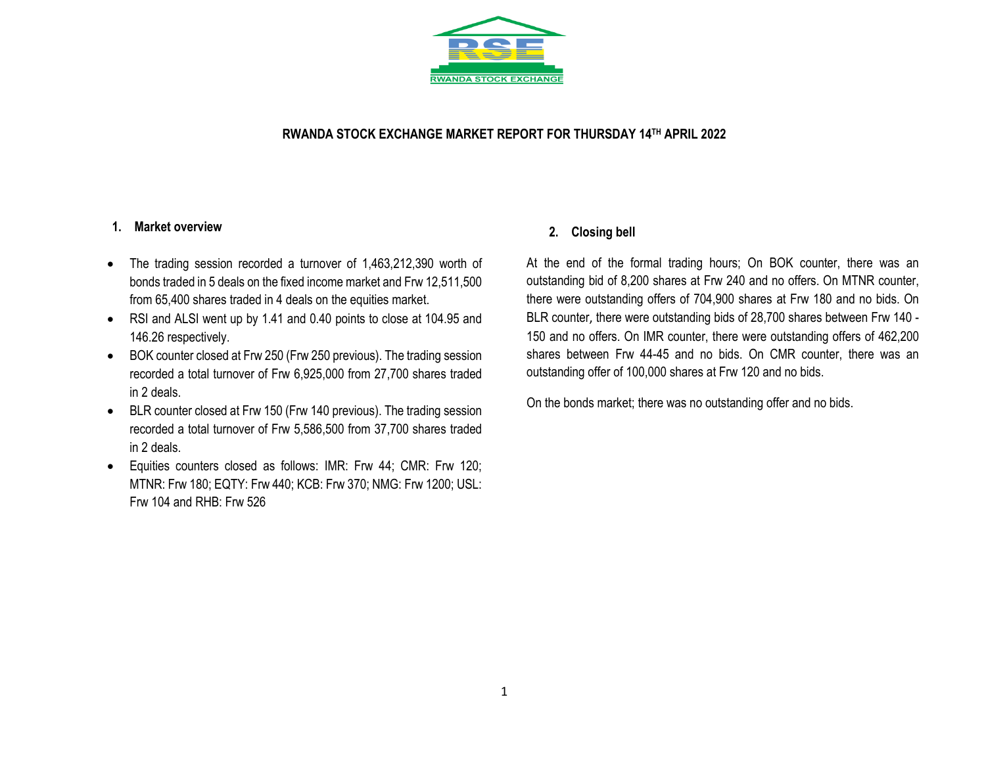

### **RWANDA STOCK EXCHANGE MARKET REPORT FOR THURSDAY 14 TH APRIL 2022**

#### **1. Market overview**

- The trading session recorded a turnover of 1,463,212,390 worth of bonds traded in 5 deals on the fixed income market and Frw 12,511,500 from 65,400 shares traded in 4 deals on the equities market.
- RSI and ALSI went up by 1.41 and 0.40 points to close at 104.95 and 146.26 respectively.
- BOK counter closed at Frw 250 (Frw 250 previous). The trading session recorded a total turnover of Frw 6,925,000 from 27,700 shares traded in 2 deals.
- BLR counter closed at Frw 150 (Frw 140 previous). The trading session recorded a total turnover of Frw 5,586,500 from 37,700 shares traded in 2 deals.
- Equities counters closed as follows: IMR: Frw 44; CMR: Frw 120; MTNR: Frw 180; EQTY: Frw 440; KCB: Frw 370; NMG: Frw 1200; USL: Frw 104 and RHB: Frw 526

### **2. Closing bell**

At the end of the formal trading hours; On BOK counter, there was an outstanding bid of 8,200 shares at Frw 240 and no offers. On MTNR counter, there were outstanding offers of 704,900 shares at Frw 180 and no bids. On BLR counter, there were outstanding bids of 28,700 shares between Frw 140 - 150 and no offers. On IMR counter, there were outstanding offers of 462,200 shares between Frw 44-45 and no bids. On CMR counter, there was an outstanding offer of 100,000 shares at Frw 120 and no bids.

On the bonds market; there was no outstanding offer and no bids.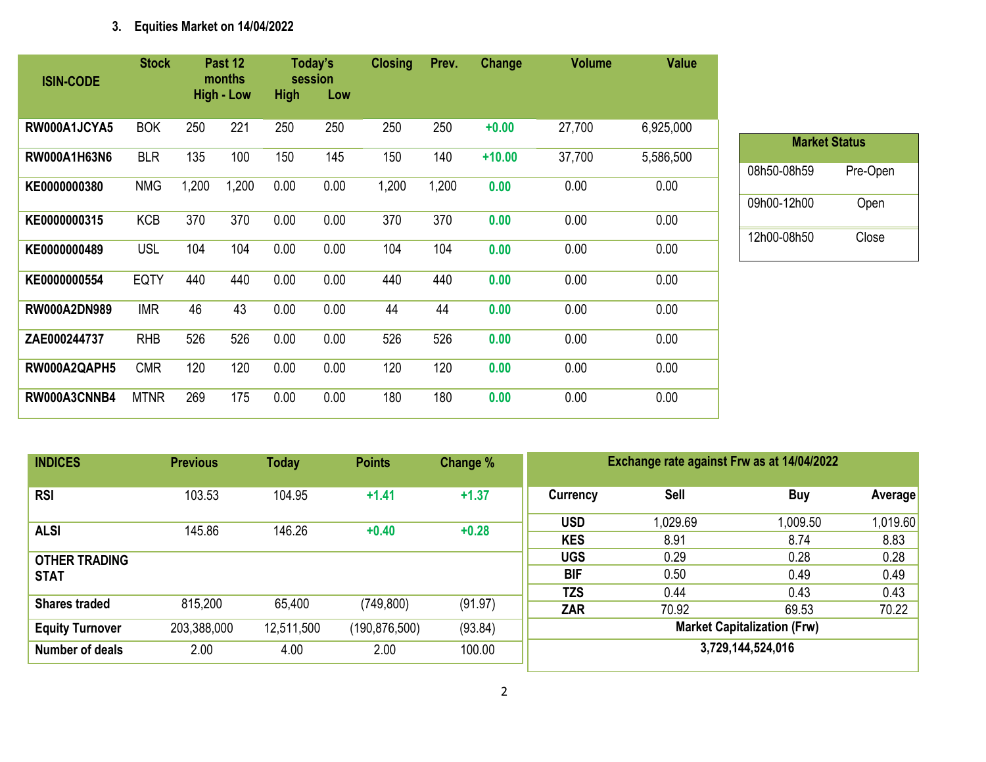# **3. Equities Market on 14/04/2022**

| <b>ISIN-CODE</b>    | <b>Stock</b> |       | Past 12<br>months<br><b>High - Low</b> | <b>High</b> | Today's<br>session<br>Low | <b>Closing</b> | Prev. | Change   | <b>Volume</b> | <b>Value</b> |
|---------------------|--------------|-------|----------------------------------------|-------------|---------------------------|----------------|-------|----------|---------------|--------------|
| RW000A1JCYA5        | <b>BOK</b>   | 250   | 221                                    | 250         | 250                       | 250            | 250   | $+0.00$  | 27,700        | 6,925,000    |
| RW000A1H63N6        | <b>BLR</b>   | 135   | 100                                    | 150         | 145                       | 150            | 140   | $+10.00$ | 37,700        | 5,586,500    |
| KE0000000380        | <b>NMG</b>   | 1,200 | 1,200                                  | 0.00        | 0.00                      | 1,200          | 1,200 | 0.00     | 0.00          | 0.00         |
| KE0000000315        | <b>KCB</b>   | 370   | 370                                    | 0.00        | 0.00                      | 370            | 370   | 0.00     | 0.00          | 0.00         |
| KE0000000489        | <b>USL</b>   | 104   | 104                                    | 0.00        | 0.00                      | 104            | 104   | 0.00     | 0.00          | 0.00         |
| KE0000000554        | <b>EQTY</b>  | 440   | 440                                    | 0.00        | 0.00                      | 440            | 440   | 0.00     | 0.00          | 0.00         |
| <b>RW000A2DN989</b> | <b>IMR</b>   | 46    | 43                                     | 0.00        | 0.00                      | 44             | 44    | 0.00     | 0.00          | 0.00         |
| ZAE000244737        | <b>RHB</b>   | 526   | 526                                    | 0.00        | 0.00                      | 526            | 526   | 0.00     | 0.00          | 0.00         |
| RW000A2QAPH5        | <b>CMR</b>   | 120   | 120                                    | 0.00        | 0.00                      | 120            | 120   | 0.00     | 0.00          | 0.00         |
| RW000A3CNNB4        | <b>MTNR</b>  | 269   | 175                                    | 0.00        | 0.00                      | 180            | 180   | 0.00     | 0.00          | 0.00         |

| <b>Market Status</b> |          |  |  |  |  |  |  |  |
|----------------------|----------|--|--|--|--|--|--|--|
| 08h50-08h59          | Pre-Open |  |  |  |  |  |  |  |
| 09h00-12h00          | Open     |  |  |  |  |  |  |  |
| 12h00-08h50          | Close    |  |  |  |  |  |  |  |

| <b>INDICES</b>         | <b>Previous</b> | <b>Today</b> | <b>Points</b>   | Change % | Exchange rate against Frw as at 14/04/2022 |          |                   |          |  |
|------------------------|-----------------|--------------|-----------------|----------|--------------------------------------------|----------|-------------------|----------|--|
| <b>RSI</b>             | 103.53          | 104.95       | $+1.41$         | $+1.37$  | <b>Currency</b>                            | Sell     | <b>Buy</b>        | Average  |  |
| <b>ALSI</b>            | 145.86          | 146.26       | $+0.40$         | $+0.28$  | <b>USD</b>                                 | 1,029.69 | 1,009.50          | 1,019.60 |  |
|                        |                 |              |                 |          | <b>KES</b>                                 | 8.91     | 8.74              | 8.83     |  |
| <b>OTHER TRADING</b>   |                 |              |                 |          | <b>UGS</b>                                 | 0.29     | 0.28              | 0.28     |  |
| <b>STAT</b>            |                 |              |                 |          | <b>BIF</b>                                 | 0.50     | 0.49              | 0.49     |  |
|                        |                 |              |                 |          | <b>TZS</b>                                 | 0.44     | 0.43              | 0.43     |  |
| <b>Shares traded</b>   | 815,200         | 65,400       | (749, 800)      | (91.97)  | ZAR                                        | 70.92    | 69.53             | 70.22    |  |
| <b>Equity Turnover</b> | 203,388,000     | 12,511,500   | (190, 876, 500) | (93.84)  | <b>Market Capitalization (Frw)</b>         |          |                   |          |  |
| Number of deals        | 2.00            | 4.00         | 2.00            | 100.00   |                                            |          | 3,729,144,524,016 |          |  |
|                        |                 |              |                 |          |                                            |          |                   |          |  |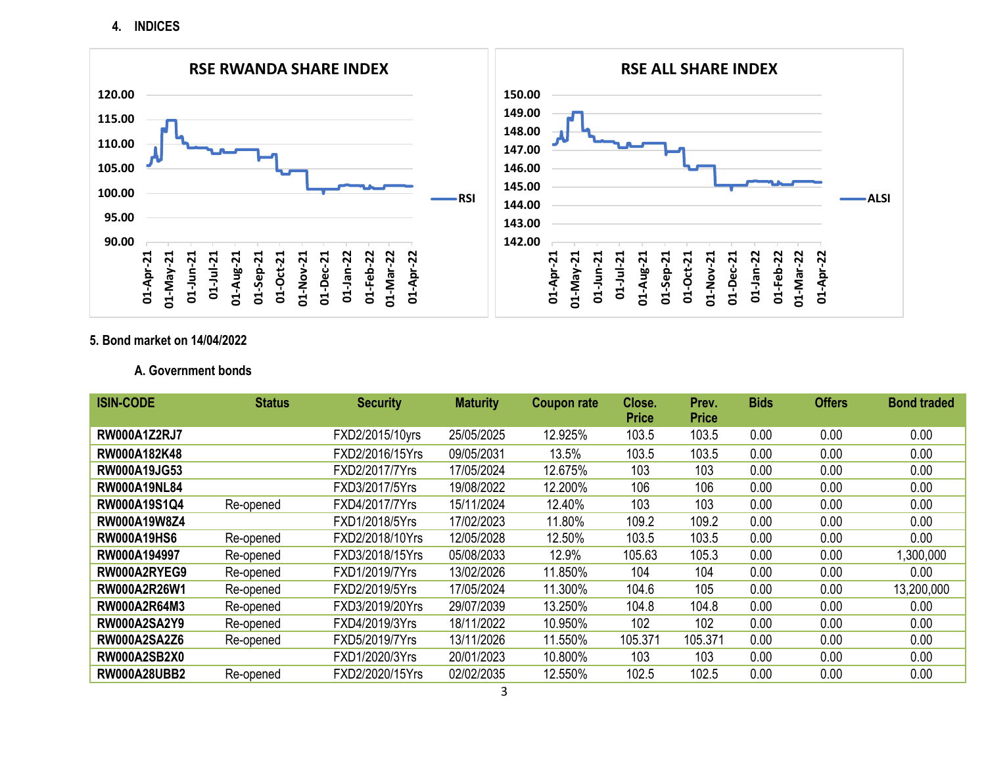**4. INDICES**



### **5. Bond market on 14/04/2022**

### **A. Government bonds**

| <b>ISIN-CODE</b>    | <b>Status</b> | <b>Security</b> | <b>Maturity</b> | <b>Coupon rate</b> | Close.       | Prev.        | <b>Bids</b> | <b>Offers</b> | <b>Bond traded</b> |
|---------------------|---------------|-----------------|-----------------|--------------------|--------------|--------------|-------------|---------------|--------------------|
|                     |               |                 |                 |                    | <b>Price</b> | <b>Price</b> |             |               |                    |
| <b>RW000A1Z2RJ7</b> |               | FXD2/2015/10yrs | 25/05/2025      | 12.925%            | 103.5        | 103.5        | 0.00        | 0.00          | 0.00               |
| RW000A182K48        |               | FXD2/2016/15Yrs | 09/05/2031      | 13.5%              | 103.5        | 103.5        | 0.00        | 0.00          | 0.00               |
| RW000A19JG53        |               | FXD2/2017/7Yrs  | 17/05/2024      | 12.675%            | 103          | 103          | 0.00        | 0.00          | 0.00               |
| <b>RW000A19NL84</b> |               | FXD3/2017/5Yrs  | 19/08/2022      | 12.200%            | 106          | 106          | 0.00        | 0.00          | 0.00               |
| RW000A19S1Q4        | Re-opened     | FXD4/2017/7Yrs  | 15/11/2024      | 12.40%             | 103          | 103          | 0.00        | 0.00          | 0.00               |
| RW000A19W8Z4        |               | FXD1/2018/5Yrs  | 17/02/2023      | 11.80%             | 109.2        | 109.2        | 0.00        | 0.00          | 0.00               |
| <b>RW000A19HS6</b>  | Re-opened     | FXD2/2018/10Yrs | 12/05/2028      | 12.50%             | 103.5        | 103.5        | 0.00        | 0.00          | 0.00               |
| RW000A194997        | Re-opened     | FXD3/2018/15Yrs | 05/08/2033      | 12.9%              | 105.63       | 105.3        | 0.00        | 0.00          | 1,300,000          |
| RW000A2RYEG9        | Re-opened     | FXD1/2019/7Yrs  | 13/02/2026      | 11.850%            | 104          | 104          | 0.00        | 0.00          | 0.00               |
| RW000A2R26W1        | Re-opened     | FXD2/2019/5Yrs  | 17/05/2024      | 11.300%            | 104.6        | 105          | 0.00        | 0.00          | 13,200,000         |
| RW000A2R64M3        | Re-opened     | FXD3/2019/20Yrs | 29/07/2039      | 13.250%            | 104.8        | 104.8        | 0.00        | 0.00          | 0.00               |
| <b>RW000A2SA2Y9</b> | Re-opened     | FXD4/2019/3Yrs  | 18/11/2022      | 10.950%            | 102          | 102          | 0.00        | 0.00          | 0.00               |
| <b>RW000A2SA2Z6</b> | Re-opened     | FXD5/2019/7Yrs  | 13/11/2026      | 11.550%            | 105.371      | 105.371      | 0.00        | 0.00          | 0.00               |
| <b>RW000A2SB2X0</b> |               | FXD1/2020/3Yrs  | 20/01/2023      | 10.800%            | 103          | 103          | 0.00        | 0.00          | 0.00               |
| <b>RW000A28UBB2</b> | Re-opened     | FXD2/2020/15Yrs | 02/02/2035      | 12.550%            | 102.5        | 102.5        | 0.00        | 0.00          | 0.00               |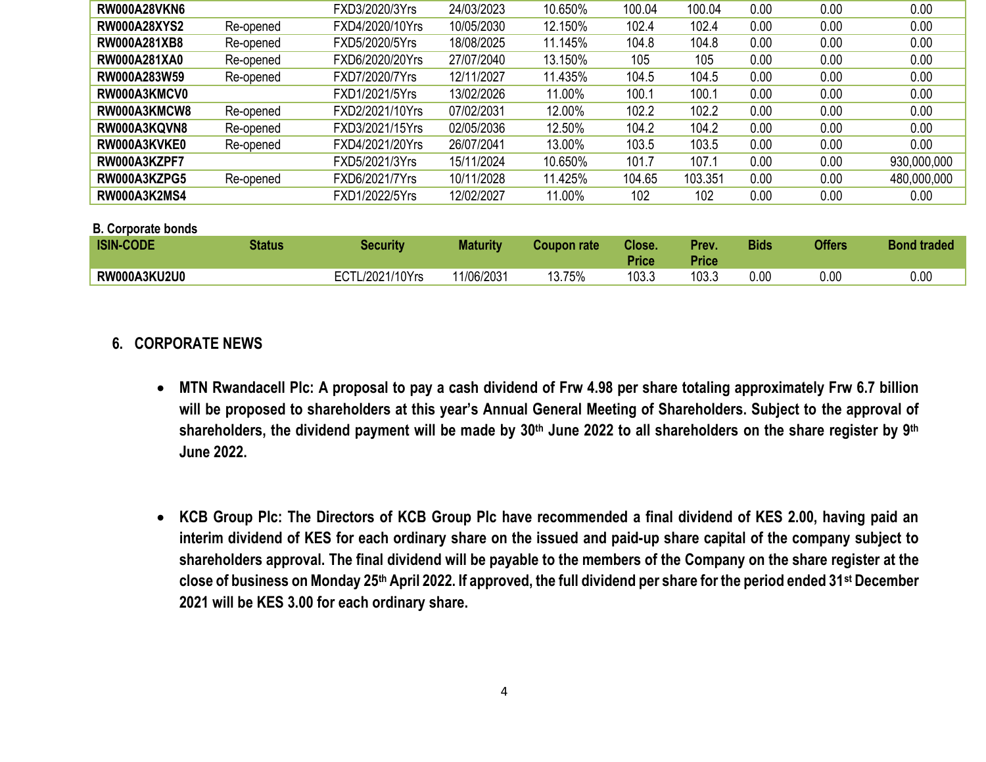| <b>RW000A28VKN6</b>       |               | FXD3/2020/3Yrs  | 24/03/2023      | 10.650%            | 100.04                 | 100.04                | 0.00        | 0.00          | 0.00               |
|---------------------------|---------------|-----------------|-----------------|--------------------|------------------------|-----------------------|-------------|---------------|--------------------|
| <b>RW000A28XYS2</b>       | Re-opened     | FXD4/2020/10Yrs | 10/05/2030      | 12.150%            | 102.4                  | 102.4                 | 0.00        | 0.00          | 0.00               |
| <b>RW000A281XB8</b>       | Re-opened     | FXD5/2020/5Yrs  | 18/08/2025      | 11.145%            | 104.8                  | 104.8                 | 0.00        | 0.00          | 0.00               |
| RW000A281XA0              | Re-opened     | FXD6/2020/20Yrs | 27/07/2040      | 13.150%            | 105                    | 105                   | 0.00        | 0.00          | 0.00               |
| RW000A283W59              | Re-opened     | FXD7/2020/7Yrs  | 12/11/2027      | 11.435%            | 104.5                  | 104.5                 | 0.00        | 0.00          | 0.00               |
| RW000A3KMCV0              |               | FXD1/2021/5Yrs  | 13/02/2026      | 11.00%             | 100.1                  | 100.1                 | 0.00        | 0.00          | 0.00               |
| RW000A3KMCW8              | Re-opened     | FXD2/2021/10Yrs | 07/02/2031      | 12.00%             | 102.2                  | 102.2                 | 0.00        | 0.00          | 0.00               |
| RW000A3KQVN8              | Re-opened     | FXD3/2021/15Yrs | 02/05/2036      | 12.50%             | 104.2                  | 104.2                 | 0.00        | 0.00          | 0.00               |
| RW000A3KVKE0              | Re-opened     | FXD4/2021/20Yrs | 26/07/2041      | 13.00%             | 103.5                  | 103.5                 | 0.00        | 0.00          | 0.00               |
| RW000A3KZPF7              |               | FXD5/2021/3Yrs  | 15/11/2024      | 10.650%            | 101.7                  | 107.1                 | 0.00        | 0.00          | 930,000,000        |
| RW000A3KZPG5              | Re-opened     | FXD6/2021/7Yrs  | 10/11/2028      | 11.425%            | 104.65                 | 103.351               | 0.00        | 0.00          | 480,000,000        |
| <b>RW000A3K2MS4</b>       |               | FXD1/2022/5Yrs  | 12/02/2027      | 11.00%             | 102                    | 102                   | 0.00        | 0.00          | 0.00               |
| <b>B. Corporate bonds</b> |               |                 |                 |                    |                        |                       |             |               |                    |
| <b>ISIN-CODE</b>          | <b>Status</b> | <b>Security</b> | <b>Maturity</b> | <b>Coupon rate</b> | Close.<br><b>Price</b> | Prev.<br><b>Price</b> | <b>Bids</b> | <b>Offers</b> | <b>Bond traded</b> |
| <b>RW000A3KU2U0</b>       |               | ECTL/2021/10Yrs | 11/06/2031      | 13.75%             | 103.3                  | 103.3                 | 0.00        | 0.00          | 0.00               |

## **6. CORPORATE NEWS**

- **MTN Rwandacell Plc: A proposal to pay a cash dividend of Frw 4.98 per share totaling approximately Frw 6.7 billion will be proposed to shareholders at this year's Annual General Meeting of Shareholders. Subject to the approval of shareholders, the dividend payment will be made by 30th June 2022 to all shareholders on the share register by 9th June 2022.**
- **KCB Group Plc: The Directors of KCB Group Plc have recommended a final dividend of KES 2.00, having paid an interim dividend of KES for each ordinary share on the issued and paid-up share capital of the company subject to shareholders approval. The final dividend will be payable to the members of the Company on the share register at the close of business on Monday 25th April 2022. If approved, the full dividend per share for the period ended 31st December 2021 will be KES 3.00 for each ordinary share.**